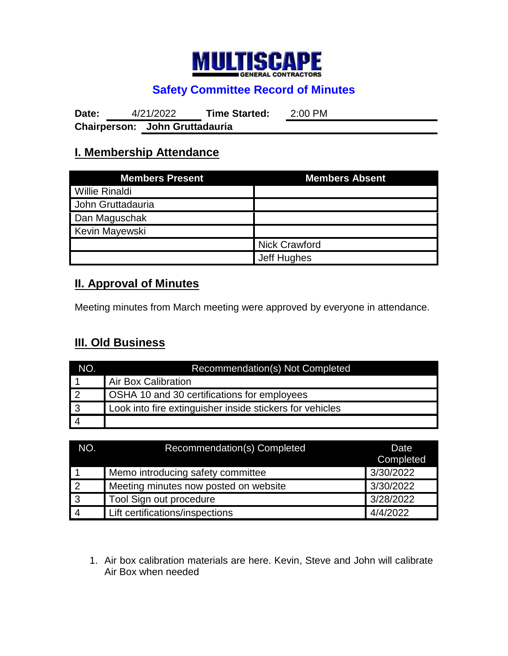

# **Safety Committee Record of Minutes**

**Date:** 4/21/2022 **Time Started:** 2:00 PM **Chairperson: John Gruttadauria**

### **I. Membership Attendance**

| <b>Members Present</b> | <b>Members Absent</b> |  |
|------------------------|-----------------------|--|
| <b>Willie Rinaldi</b>  |                       |  |
| John Gruttadauria      |                       |  |
| Dan Maguschak          |                       |  |
| <b>Kevin Mayewski</b>  |                       |  |
|                        | <b>Nick Crawford</b>  |  |
|                        | Jeff Hughes           |  |

### **II. Approval of Minutes**

Meeting minutes from March meeting were approved by everyone in attendance.

# **III. Old Business**

| NO.             | Recommendation(s) Not Completed                          |  |
|-----------------|----------------------------------------------------------|--|
|                 | Air Box Calibration                                      |  |
| $\overline{12}$ | <b>OSHA 10 and 30 certifications for employees</b>       |  |
| $\overline{3}$  | Look into fire extinguisher inside stickers for vehicles |  |
|                 |                                                          |  |

| NO.            | Recommendation(s) Completed           | Date<br>Completed |
|----------------|---------------------------------------|-------------------|
|                | Memo introducing safety committee     | 3/30/2022         |
| $\overline{2}$ | Meeting minutes now posted on website | 3/30/2022         |
| $\overline{3}$ | Tool Sign out procedure               | 3/28/2022         |
| $\overline{4}$ | Lift certifications/inspections       | 4/4/2022          |

1. Air box calibration materials are here. Kevin, Steve and John will calibrate Air Box when needed